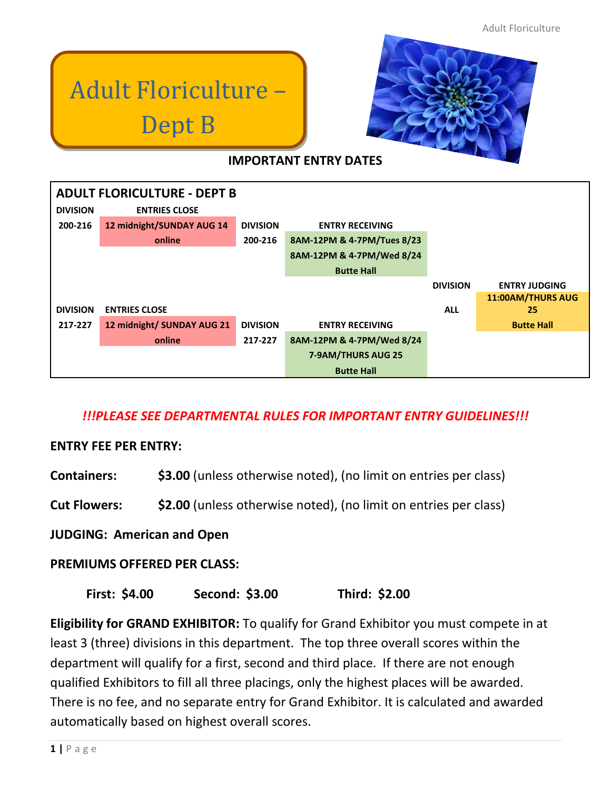# Adult Floriculture – Dept B



# **IMPORTANT ENTRY DATES**

| <b>ADULT FLORICULTURE - DEPT B</b> |                            |                 |                            |                 |                          |
|------------------------------------|----------------------------|-----------------|----------------------------|-----------------|--------------------------|
| <b>DIVISION</b>                    | <b>ENTRIES CLOSE</b>       |                 |                            |                 |                          |
| 200-216                            | 12 midnight/SUNDAY AUG 14  | <b>DIVISION</b> | <b>ENTRY RECEIVING</b>     |                 |                          |
|                                    | online                     | 200-216         | 8AM-12PM & 4-7PM/Tues 8/23 |                 |                          |
|                                    |                            |                 | 8AM-12PM & 4-7PM/Wed 8/24  |                 |                          |
|                                    |                            |                 | <b>Butte Hall</b>          |                 |                          |
|                                    |                            |                 |                            | <b>DIVISION</b> | <b>ENTRY JUDGING</b>     |
|                                    |                            |                 |                            |                 | <b>11:00AM/THURS AUG</b> |
| <b>DIVISION</b>                    | <b>ENTRIES CLOSE</b>       |                 |                            | <b>ALL</b>      | 25                       |
| 217-227                            | 12 midnight/ SUNDAY AUG 21 | <b>DIVISION</b> | <b>ENTRY RECEIVING</b>     |                 | <b>Butte Hall</b>        |
|                                    | online                     | 217-227         | 8AM-12PM & 4-7PM/Wed 8/24  |                 |                          |
|                                    |                            |                 | 7-9AM/THURS AUG 25         |                 |                          |
|                                    |                            |                 | <b>Butte Hall</b>          |                 |                          |

## *!!!PLEASE SEE DEPARTMENTAL RULES FOR IMPORTANT ENTRY GUIDELINES!!!*

## **ENTRY FEE PER ENTRY:**

**Containers: \$3.00** (unless otherwise noted), (no limit on entries per class)

**Cut Flowers: \$2.00** (unless otherwise noted), (no limit on entries per class)

#### **JUDGING: American and Open**

## **PREMIUMS OFFERED PER CLASS:**

**First: \$4.00 Second: \$3.00 Third: \$2.00**

**Eligibility for GRAND EXHIBITOR:** To qualify for Grand Exhibitor you must compete in at least 3 (three) divisions in this department. The top three overall scores within the department will qualify for a first, second and third place. If there are not enough qualified Exhibitors to fill all three placings, only the highest places will be awarded. There is no fee, and no separate entry for Grand Exhibitor. It is calculated and awarded automatically based on highest overall scores.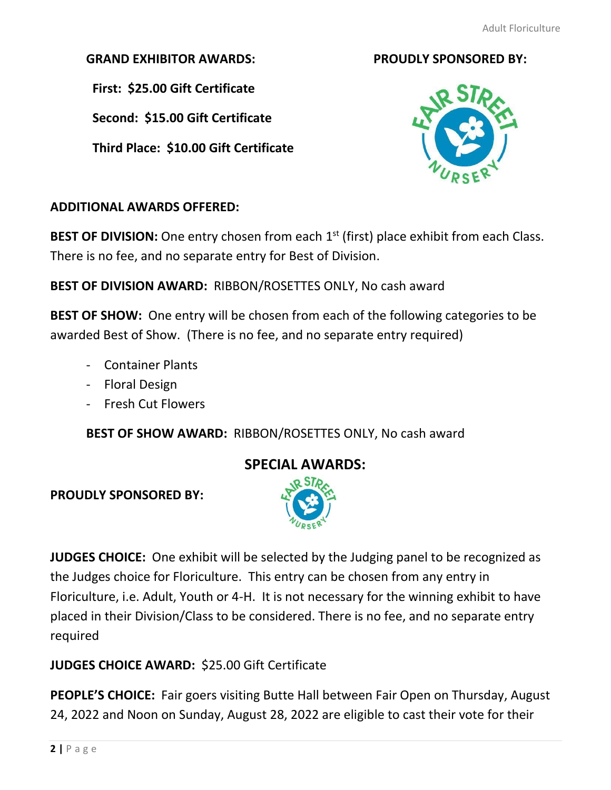## **GRAND EXHIBITOR AWARDS: PROUDLY SPONSORED BY:**

 **First: \$25.00 Gift Certificate**

 **Second: \$15.00 Gift Certificate**

 **Third Place: \$10.00 Gift Certificate**





## **ADDITIONAL AWARDS OFFERED:**

BEST OF DIVISION: One entry chosen from each 1<sup>st</sup> (first) place exhibit from each Class. There is no fee, and no separate entry for Best of Division.

**BEST OF DIVISION AWARD:** RIBBON/ROSETTES ONLY, No cash award

**BEST OF SHOW:** One entry will be chosen from each of the following categories to be awarded Best of Show. (There is no fee, and no separate entry required)

- Container Plants
- Floral Design
- Fresh Cut Flowers

**BEST OF SHOW AWARD:** RIBBON/ROSETTES ONLY, No cash award

# **SPECIAL AWARDS:**

**PROUDLY SPONSORED BY:**



**JUDGES CHOICE:** One exhibit will be selected by the Judging panel to be recognized as the Judges choice for Floriculture. This entry can be chosen from any entry in Floriculture, i.e. Adult, Youth or 4-H. It is not necessary for the winning exhibit to have placed in their Division/Class to be considered. There is no fee, and no separate entry required

# **JUDGES CHOICE AWARD:** \$25.00 Gift Certificate

**PEOPLE'S CHOICE:** Fair goers visiting Butte Hall between Fair Open on Thursday, August 24, 2022 and Noon on Sunday, August 28, 2022 are eligible to cast their vote for their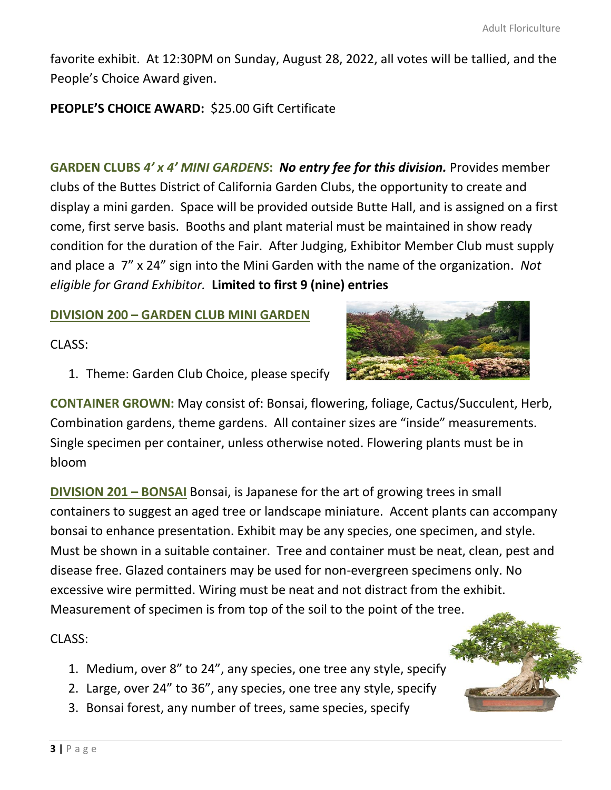favorite exhibit. At 12:30PM on Sunday, August 28, 2022, all votes will be tallied, and the People's Choice Award given.

## **PEOPLE'S CHOICE AWARD:** \$25.00 Gift Certificate

**GARDEN CLUBS** *4' x 4' MINI GARDENS***:** *No entry fee for this division.* Provides member clubs of the Buttes District of California Garden Clubs, the opportunity to create and display a mini garden. Space will be provided outside Butte Hall, and is assigned on a first come, first serve basis. Booths and plant material must be maintained in show ready condition for the duration of the Fair. After Judging, Exhibitor Member Club must supply and place a 7" x 24" sign into the Mini Garden with the name of the organization. *Not eligible for Grand Exhibitor.* **Limited to first 9 (nine) entries**

#### **DIVISION 200 – GARDEN CLUB MINI GARDEN**

CLASS:

1. Theme: Garden Club Choice, please specify

**CONTAINER GROWN:** May consist of: Bonsai, flowering, [foliage, Ca](https://creativecommons.org/licenses/by-nc-nd/3.0/)ctus/Succulent, Herb, Combination gardens, theme gardens. All container sizes are "inside" measurements. Single specimen per container, unless otherwise noted. Flowering plants must be in bloom

**DIVISION 201 – BONSAI** Bonsai, is Japanese for the art of growing trees in small containers to suggest an aged tree or landscape miniature. Accent plants can accompany bonsai to enhance presentation. Exhibit may be any species, one specimen, and style. Must be shown in a suitable container. Tree and container must be neat, clean, pest and disease free. Glazed containers may be used for non-evergreen specimens only. No excessive wire permitted. Wiring must be neat and not distract from the exhibit. Measurement of specimen is from top of the soil to the point of the tree.

CLASS:

- 1. Medium, over 8" to 24", any species, one tree any style, specify
- 2. Large, over 24" to 36", any species, one tree any style, specify
- 3. Bonsai forest, any number of trees, same species, specify

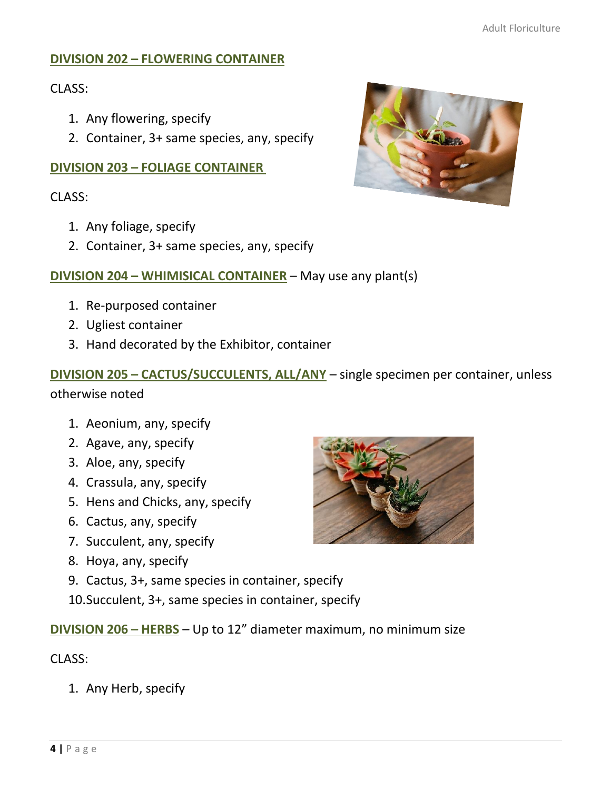## **DIVISION 202 – FLOWERING CONTAINER**

## CLASS:

- 1. Any flowering, specify
- 2. Container, 3+ same species, any, specify

## **DIVISION 203 – FOLIAGE CONTAINER**

CLASS:

- 1. Any foliage, specify
- 2. Container, 3+ same species, any, specify

## **DIVISION 204 – WHIMISICAL CONTAINER** – May use any plant(s)

- 1. Re-purposed container
- 2. Ugliest container
- 3. Hand decorated by the Exhibitor, container

# **DIVISION 205 – CACTUS/SUCCULENTS, ALL/ANY** – single specimen per container, unless otherwise noted

- 1. Aeonium, any, specify
- 2. Agave, any, specify
- 3. Aloe, any, specify
- 4. Crassula, any, specify
- 5. Hens and Chicks, any, specify
- 6. Cactus, any, specify
- 7. Succulent, any, specify
- 8. Hoya, any, specify
- 9. Cactus, 3+, same species in container, specify
- 10.Succulent, 3+, same species in container, specify
- **DIVISION 206 – HERBS** Up to 12" diameter maximum, no minimum size

## CLASS:

1. Any Herb, specify



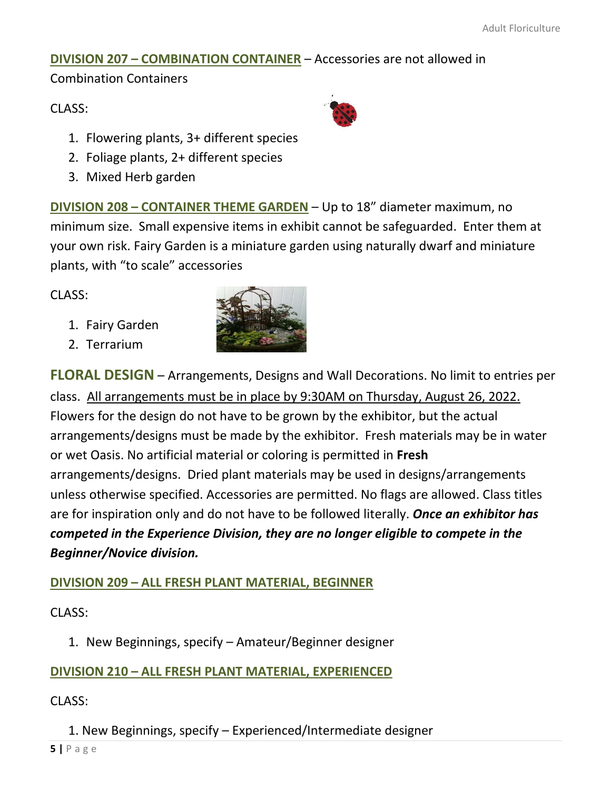## **DIVISION 207 – COMBINATION CONTAINER** – Accessories are not allowed in

Combination Containers

## CLASS:

- 1. Flowering plants, 3+ different species
- 2. Foliage plants, 2+ different species
- 3. Mixed Herb garden

**DIVISION 208 – CONTAINER THEME GARDEN** – Up to 18" diameter maximum, no minimum size. Small expensive items in exhibit c[annot](https://creativecommons.org/licenses/by/3.0/) be safeguarded. Enter them at your own risk. Fairy Garden is a miniature garden using naturally dwarf and miniature plants, with "to scale" accessories

 $CI ASS:$ 

- 1. Fairy Garden
- 2. Terrarium



**FLORAL DESIGN** – Arrangements, Designs and Wall Decorations. No limit to entries per class. All arrangements must [be](https://creativecommons.org/licenses/by/3.0/) in plac[e by 9](https://creativecommons.org/licenses/by/3.0/):30AM on Thursday, August 26, 2022. Flowers for the design do not have to be grown by the exhibitor, but the actual arrangements/designs must be made by the exhibitor. Fresh materials may be in water or wet Oasis. No artificial material or coloring is permitted in **Fresh** arrangements/designs. Dried plant materials may be used in designs/arrangements unless otherwise specified. Accessories are permitted. No flags are allowed. Class titles are for inspiration only and do not have to be followed literally. *Once an exhibitor has competed in the Experience Division, they are no longer eligible to compete in the Beginner/Novice division.*

# **DIVISION 209 – ALL FRESH PLANT MATERIAL, BEGINNER**

CLASS:

1. New Beginnings, specify – Amateur/Beginner designer

# **DIVISION 210 – ALL FRESH PLANT MATERIAL, EXPERIENCED**

# CLASS:

1. New Beginnings, specify – Experienced/Intermediate designer

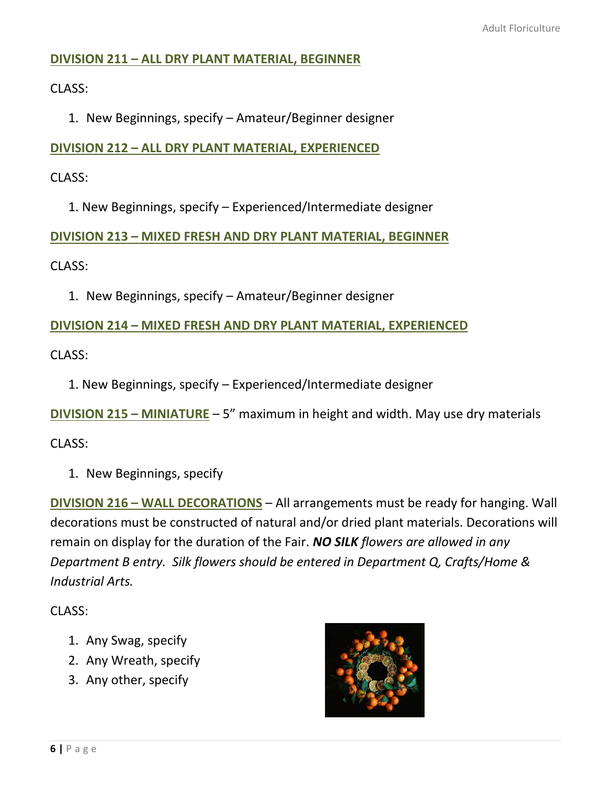## **DIVISION 211 – ALL DRY PLANT MATERIAL, BEGINNER**

CLASS:

1. New Beginnings, specify – Amateur/Beginner designer

#### **DIVISION 212 – ALL DRY PLANT MATERIAL, EXPERIENCED**

CLASS:

1. New Beginnings, specify – Experienced/Intermediate designer

**DIVISION 213 – MIXED FRESH AND DRY PLANT MATERIAL, BEGINNER**

CLASS:

1. New Beginnings, specify – Amateur/Beginner designer

**DIVISION 214 – MIXED FRESH AND DRY PLANT MATERIAL, EXPERIENCED**

CLASS:

1. New Beginnings, specify – Experienced/Intermediate designer

**DIVISION 215 – MINIATURE** – 5" maximum in height and width. May use dry materials

CLASS:

1. New Beginnings, specify

**DIVISION 216 – WALL DECORATIONS** – All arrangements must be ready for hanging. Wall decorations must be constructed of natural and/or dried plant materials. Decorations will remain on display for the duration of the Fair. *NO SILK flowers are allowed in any Department B entry. Silk flowers should be entered in Department Q, Crafts/Home & Industrial Arts.*

CLASS:

- 1. Any Swag, specify
- 2. Any Wreath, specify
- 3. Any other, specify

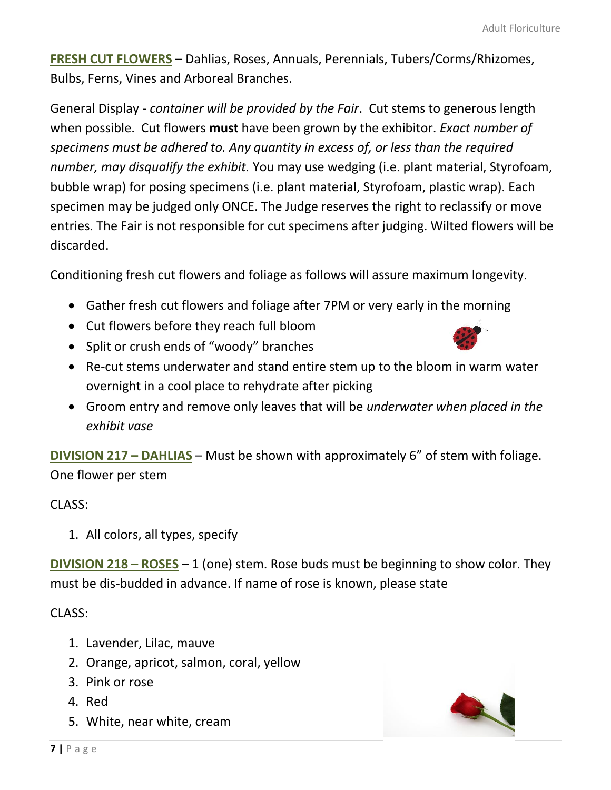**FRESH CUT FLOWERS** – Dahlias, Roses, Annuals, Perennials, Tubers/Corms/Rhizomes, Bulbs, Ferns, Vines and Arboreal Branches.

General Display - *container will be provided by the Fair*. Cut stems to generous length when possible. Cut flowers **must** have been grown by the exhibitor. *Exact number of specimens must be adhered to. Any quantity in excess of, or less than the required number, may disqualify the exhibit.* You may use wedging (i.e. plant material, Styrofoam, bubble wrap) for posing specimens (i.e. plant material, Styrofoam, plastic wrap). Each specimen may be judged only ONCE. The Judge reserves the right to reclassify or move entries. The Fair is not responsible for cut specimens after judging. Wilted flowers will be discarded.

Conditioning fresh cut flowers and foliage as follows will assure maximum longevity.

- Gather fresh cut flowers and foliage after 7PM or very early in the morning
- Cut flowers before they reach full bloom
- Split or crush ends of "woody" branches
- Re-cut stems underwater and stand entire stem up to the blo[om in](http://vecteezy.com/insects-bugs/48526-ladybug-vector-) warm water overnight in a cool place to rehydrate after picking
- Groom entry and remove only leaves that will be *underwater when placed in the exhibit vase*

**DIVISION 217 – DAHLIAS** – Must be shown with approximately 6" o[f stem](https://creativecommons.org/licenses/by/3.0/) with foliage. One flower per stem

## CLASS:

1. All colors, all types, specify

**DIVISION 218 – ROSES** – 1 (one) stem. Rose buds must be beginning to show color. They must be dis-budded in advance. If name of rose is known, please state

## CLASS:

- 1. Lavender, Lilac, mauve
- 2. Orange, apricot, salmon, coral, yellow
- 3. Pink or rose
- 4. Red
- 5. White, near white, cream

![](_page_6_Picture_19.jpeg)

![](_page_6_Picture_20.jpeg)

![](_page_6_Picture_21.jpeg)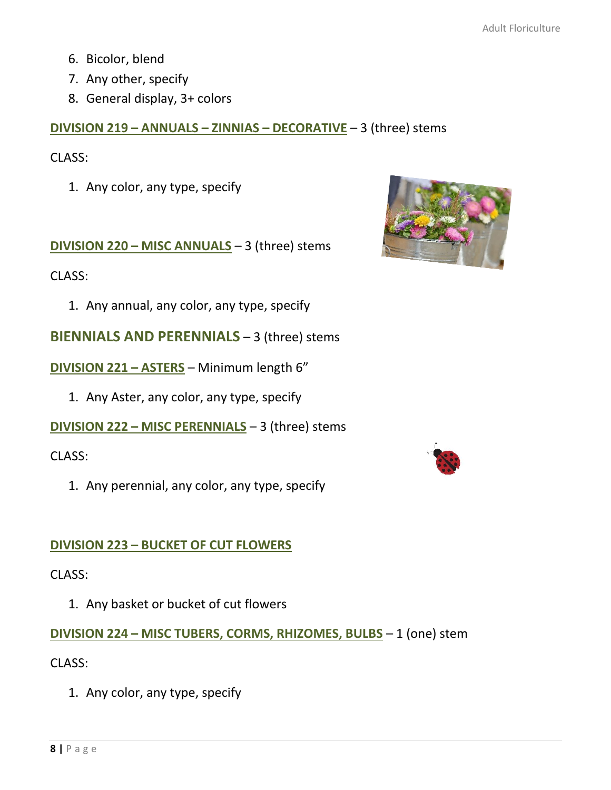- 6. Bicolor, blend
- 7. Any other, specify
- 8. General display, 3+ colors

## **DIVISION 219 – ANNUALS – ZINNIAS – DECORATIVE** – 3 (three) stems

CLASS:

1. Any color, any type, specify

**DIVISION 220 – MISC ANNUALS** – 3 (three) stems

CLASS:

1. Any annual, any color, any type, specify

**BIENNIALS AND PERENNIALS** – 3 (three) stems

**DIVISION 221 – ASTERS** – Minimum length 6"

1. Any Aster, any color, any type, specify

**DIVISION 222 – MISC PERENNIALS** – 3 (three) stems

CLASS:

1. Any perennial, any color, any type, specify

## **DIVISION 223 – BUCKET OF CUT FLOWERS**

CLASS:

1. Any basket or bucket of cut flowers

**DIVISION 224 – MISC TUBERS, CORMS, RHIZOMES, BULBS** – 1 (one) stem

CLASS:

1. Any color, any type, specify

![](_page_7_Picture_22.jpeg)

![](_page_7_Picture_23.jpeg)